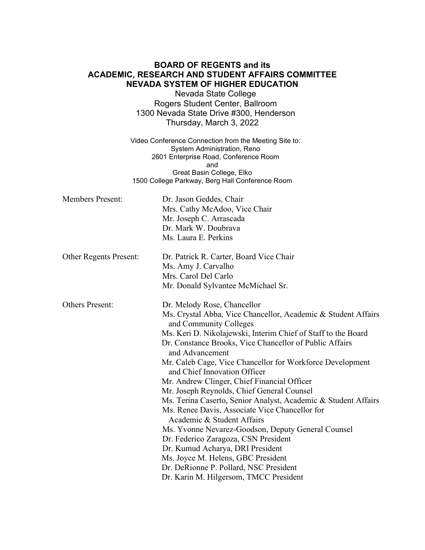## **BOARD OF REGENTS and its ACADEMIC, RESEARCH AND STUDENT AFFAIRS COMMITTEE NEVADA SYSTEM OF HIGHER EDUCATION**

Nevada State College Rogers Student Center, Ballroom 1300 Nevada State Drive #300, Henderson Thursday, March 3, 2022

Video Conference Connection from the Meeting Site to: System Administration, Reno 2601 Enterprise Road, Conference Room and Great Basin College, Elko 1500 College Parkway, Berg Hall Conference Room

| <b>Members Present:</b>       | Dr. Jason Geddes, Chair<br>Mrs. Cathy McAdoo, Vice Chair<br>Mr. Joseph C. Arrascada<br>Dr. Mark W. Doubrava<br>Ms. Laura E. Perkins                                                                                                                                                                                                                                                                                                                                                                                                                                                                                                                                                                                                                                                                                                                                           |
|-------------------------------|-------------------------------------------------------------------------------------------------------------------------------------------------------------------------------------------------------------------------------------------------------------------------------------------------------------------------------------------------------------------------------------------------------------------------------------------------------------------------------------------------------------------------------------------------------------------------------------------------------------------------------------------------------------------------------------------------------------------------------------------------------------------------------------------------------------------------------------------------------------------------------|
| <b>Other Regents Present:</b> | Dr. Patrick R. Carter, Board Vice Chair<br>Ms. Amy J. Carvalho<br>Mrs. Carol Del Carlo<br>Mr. Donald Sylvantee McMichael Sr.                                                                                                                                                                                                                                                                                                                                                                                                                                                                                                                                                                                                                                                                                                                                                  |
| <b>Others Present:</b>        | Dr. Melody Rose, Chancellor<br>Ms. Crystal Abba, Vice Chancellor, Academic & Student Affairs<br>and Community Colleges<br>Ms. Keri D. Nikolajewski, Interim Chief of Staff to the Board<br>Dr. Constance Brooks, Vice Chancellor of Public Affairs<br>and Advancement<br>Mr. Caleb Cage, Vice Chancellor for Workforce Development<br>and Chief Innovation Officer<br>Mr. Andrew Clinger, Chief Financial Officer<br>Mr. Joseph Reynolds, Chief General Counsel<br>Ms. Terina Caserto, Senior Analyst, Academic & Student Affairs<br>Ms. Renee Davis, Associate Vice Chancellor for<br>Academic & Student Affairs<br>Ms. Yvonne Nevarez-Goodson, Deputy General Counsel<br>Dr. Federico Zaragoza, CSN President<br>Dr. Kumud Acharya, DRI President<br>Ms. Joyce M. Helens, GBC President<br>Dr. DeRionne P. Pollard, NSC President<br>Dr. Karin M. Hilgersom, TMCC President |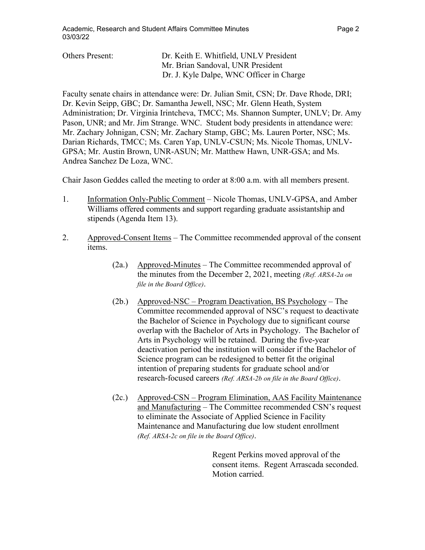|--|--|--|

| <b>Others Present:</b> | Dr. Keith E. Whitfield, UNLV President   |
|------------------------|------------------------------------------|
|                        | Mr. Brian Sandoval, UNR President        |
|                        | Dr. J. Kyle Dalpe, WNC Officer in Charge |

Faculty senate chairs in attendance were: Dr. Julian Smit, CSN; Dr. Dave Rhode, DRI; Dr. Kevin Seipp, GBC; Dr. Samantha Jewell, NSC; Mr. Glenn Heath, System Administration; Dr. Virginia Irintcheva, TMCC; Ms. Shannon Sumpter, UNLV; Dr. Amy Pason, UNR; and Mr. Jim Strange. WNC. Student body presidents in attendance were: Mr. Zachary Johnigan, CSN; Mr. Zachary Stamp, GBC; Ms. Lauren Porter, NSC; Ms. Darian Richards, TMCC; Ms. Caren Yap, UNLV-CSUN; Ms. Nicole Thomas, UNLV-GPSA; Mr. Austin Brown, UNR-ASUN; Mr. Matthew Hawn, UNR-GSA; and Ms. Andrea Sanchez De Loza, WNC.

Chair Jason Geddes called the meeting to order at 8:00 a.m. with all members present.

- 1. Information Only-Public Comment Nicole Thomas, UNLV-GPSA, and Amber Williams offered comments and support regarding graduate assistantship and stipends (Agenda Item 13).
- 2. Approved-Consent Items The Committee recommended approval of the consent items.
	- (2a.) Approved-Minutes The Committee recommended approval of the minutes from the December 2, 2021, meeting *(Ref. ARSA-2a on file in the Board Office)*.
	- (2b.) Approved-NSC Program Deactivation, BS Psychology The Committee recommended approval of NSC's request to deactivate the Bachelor of Science in Psychology due to significant course overlap with the Bachelor of Arts in Psychology. The Bachelor of Arts in Psychology will be retained. During the five-year deactivation period the institution will consider if the Bachelor of Science program can be redesigned to better fit the original intention of preparing students for graduate school and/or research-focused careers *(Ref. ARSA-2b on file in the Board Office)*.
	- (2c.) Approved-CSN Program Elimination, AAS Facility Maintenance and Manufacturing – The Committee recommended CSN's request to eliminate the Associate of Applied Science in Facility Maintenance and Manufacturing due low student enrollment *(Ref. ARSA-2c on file in the Board Office)*.

Regent Perkins moved approval of the consent items. Regent Arrascada seconded. Motion carried.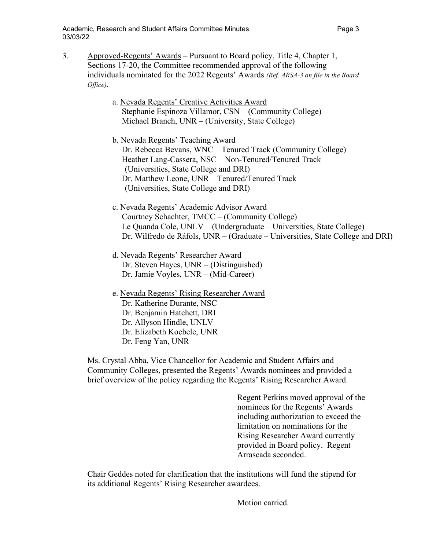- 3. Approved-Regents' Awards Pursuant to Board policy, Title 4, Chapter 1, Sections 17-20, the Committee recommended approval of the following individuals nominated for the 2022 Regents' Awards *(Ref. ARSA-3 on file in the Board Office)*.
	- a. Nevada Regents' Creative Activities Award Stephanie Espinoza Villamor, CSN – (Community College) Michael Branch, UNR – (University, State College)

b. Nevada Regents' Teaching Award Dr. Rebecca Bevans, WNC – Tenured Track (Community College) Heather Lang-Cassera, NSC – Non-Tenured/Tenured Track (Universities, State College and DRI) Dr. Matthew Leone, UNR – Tenured/Tenured Track (Universities, State College and DRI)

- c. Nevada Regents' Academic Advisor Award Courtney Schachter, TMCC – (Community College) Le Quanda Cole, UNLV – (Undergraduate – Universities, State College) Dr. Wilfredo de Ráfols, UNR – (Graduate – Universities, State College and DRI)
- d. Nevada Regents' Researcher Award Dr. Steven Hayes, UNR – (Distinguished) Dr. Jamie Voyles, UNR – (Mid-Career)
- e. Nevada Regents' Rising Researcher Award Dr. Katherine Durante, NSC Dr. Benjamin Hatchett, DRI Dr. Allyson Hindle, UNLV Dr. Elizabeth Koebele, UNR Dr. Feng Yan, UNR

Ms. Crystal Abba, Vice Chancellor for Academic and Student Affairs and Community Colleges, presented the Regents' Awards nominees and provided a brief overview of the policy regarding the Regents' Rising Researcher Award.

> Regent Perkins moved approval of the nominees for the Regents' Awards including authorization to exceed the limitation on nominations for the Rising Researcher Award currently provided in Board policy. Regent Arrascada seconded.

Chair Geddes noted for clarification that the institutions will fund the stipend for its additional Regents' Rising Researcher awardees.

Motion carried.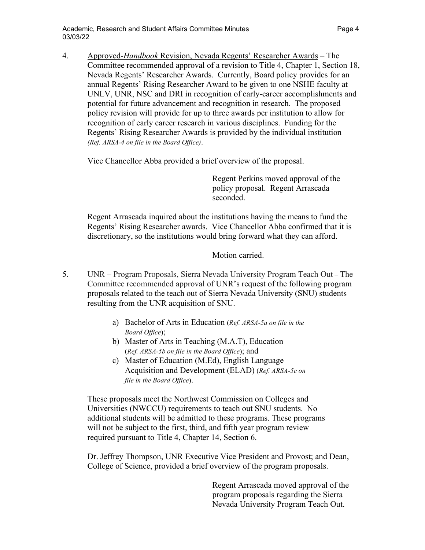4. Approved-*Handbook* Revision, Nevada Regents' Researcher Awards – The Committee recommended approval of a revision to Title 4, Chapter 1, Section 18, Nevada Regents' Researcher Awards. Currently, Board policy provides for an annual Regents' Rising Researcher Award to be given to one NSHE faculty at UNLV, UNR, NSC and DRI in recognition of early-career accomplishments and potential for future advancement and recognition in research. The proposed policy revision will provide for up to three awards per institution to allow for recognition of early career research in various disciplines. Funding for the Regents' Rising Researcher Awards is provided by the individual institution *(Ref. ARSA-4 on file in the Board Office)*.

Vice Chancellor Abba provided a brief overview of the proposal.

Regent Perkins moved approval of the policy proposal. Regent Arrascada seconded.

Regent Arrascada inquired about the institutions having the means to fund the Regents' Rising Researcher awards. Vice Chancellor Abba confirmed that it is discretionary, so the institutions would bring forward what they can afford.

Motion carried.

- 5. UNR Program Proposals, Sierra Nevada University Program Teach Out The Committee recommended approval of UNR's request of the following program proposals related to the teach out of Sierra Nevada University (SNU) students resulting from the UNR acquisition of SNU.
	- a) Bachelor of Arts in Education (*Ref. ARSA-5a on file in the Board Office*);
	- b) Master of Arts in Teaching (M.A.T), Education (*Ref. ARSA-5b on file in the Board Office*); and
	- c) Master of Education (M.Ed), English Language Acquisition and Development (ELAD) (*Ref. ARSA-5c on file in the Board Office*).

These proposals meet the Northwest Commission on Colleges and Universities (NWCCU) requirements to teach out SNU students. No additional students will be admitted to these programs. These programs will not be subject to the first, third, and fifth year program review required pursuant to Title 4, Chapter 14, Section 6.

Dr. Jeffrey Thompson, UNR Executive Vice President and Provost; and Dean, College of Science, provided a brief overview of the program proposals.

> Regent Arrascada moved approval of the program proposals regarding the Sierra Nevada University Program Teach Out.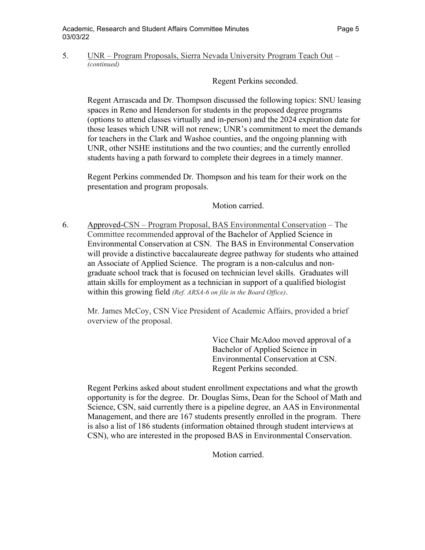#### 5. UNR – Program Proposals, Sierra Nevada University Program Teach Out – *(continued)*

Regent Perkins seconded.

Regent Arrascada and Dr. Thompson discussed the following topics: SNU leasing spaces in Reno and Henderson for students in the proposed degree programs (options to attend classes virtually and in-person) and the 2024 expiration date for those leases which UNR will not renew; UNR's commitment to meet the demands for teachers in the Clark and Washoe counties, and the ongoing planning with UNR, other NSHE institutions and the two counties; and the currently enrolled students having a path forward to complete their degrees in a timely manner.

Regent Perkins commended Dr. Thompson and his team for their work on the presentation and program proposals.

Motion carried.

6. Approved-CSN – Program Proposal, BAS Environmental Conservation – The Committee recommended approval of the Bachelor of Applied Science in Environmental Conservation at CSN. The BAS in Environmental Conservation will provide a distinctive baccalaureate degree pathway for students who attained an Associate of Applied Science. The program is a non-calculus and nongraduate school track that is focused on technician level skills. Graduates will attain skills for employment as a technician in support of a qualified biologist within this growing field *(Ref. ARSA-6 on file in the Board Office)*.

Mr. James McCoy, CSN Vice President of Academic Affairs, provided a brief overview of the proposal.

> Vice Chair McAdoo moved approval of a Bachelor of Applied Science in Environmental Conservation at CSN. Regent Perkins seconded.

Regent Perkins asked about student enrollment expectations and what the growth opportunity is for the degree. Dr. Douglas Sims, Dean for the School of Math and Science, CSN, said currently there is a pipeline degree, an AAS in Environmental Management, and there are 167 students presently enrolled in the program. There is also a list of 186 students (information obtained through student interviews at CSN), who are interested in the proposed BAS in Environmental Conservation.

Motion carried.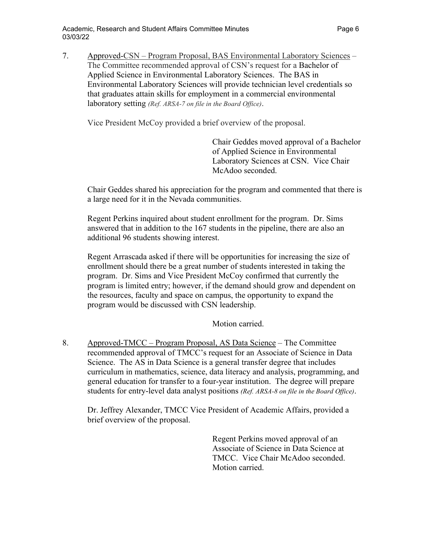7. Approved-CSN – Program Proposal, BAS Environmental Laboratory Sciences – The Committee recommended approval of CSN's request for a Bachelor of Applied Science in Environmental Laboratory Sciences. The BAS in Environmental Laboratory Sciences will provide technician level credentials so that graduates attain skills for employment in a commercial environmental laboratory setting *(Ref. ARSA-7 on file in the Board Office)*.

Vice President McCoy provided a brief overview of the proposal.

Chair Geddes moved approval of a Bachelor of Applied Science in Environmental Laboratory Sciences at CSN. Vice Chair McAdoo seconded.

Chair Geddes shared his appreciation for the program and commented that there is a large need for it in the Nevada communities.

Regent Perkins inquired about student enrollment for the program. Dr. Sims answered that in addition to the 167 students in the pipeline, there are also an additional 96 students showing interest.

Regent Arrascada asked if there will be opportunities for increasing the size of enrollment should there be a great number of students interested in taking the program. Dr. Sims and Vice President McCoy confirmed that currently the program is limited entry; however, if the demand should grow and dependent on the resources, faculty and space on campus, the opportunity to expand the program would be discussed with CSN leadership.

Motion carried.

8. Approved-TMCC – Program Proposal, AS Data Science – The Committee recommended approval of TMCC's request for an Associate of Science in Data Science. The AS in Data Science is a general transfer degree that includes curriculum in mathematics, science, data literacy and analysis, programming, and general education for transfer to a four-year institution. The degree will prepare students for entry-level data analyst positions *(Ref. ARSA-8 on file in the Board Office)*.

Dr. Jeffrey Alexander, TMCC Vice President of Academic Affairs, provided a brief overview of the proposal.

> Regent Perkins moved approval of an Associate of Science in Data Science at TMCC. Vice Chair McAdoo seconded. Motion carried.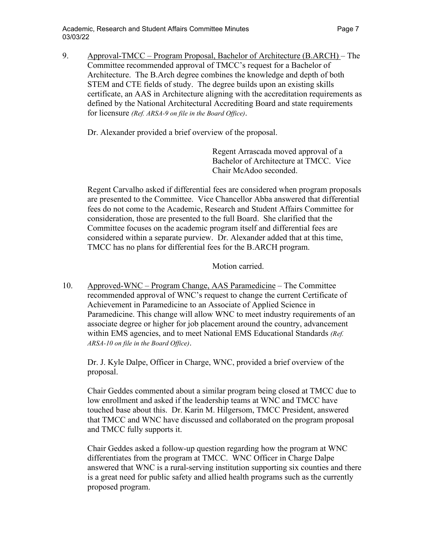Academic, Research and Student Affairs Committee Minutes **Page 7** Page 7 03/03/22

9. Approval-TMCC – Program Proposal, Bachelor of Architecture (B.ARCH) – The Committee recommended approval of TMCC's request for a Bachelor of Architecture. The B.Arch degree combines the knowledge and depth of both STEM and CTE fields of study. The degree builds upon an existing skills certificate, an AAS in Architecture aligning with the accreditation requirements as defined by the National Architectural Accrediting Board and state requirements for licensure *(Ref. ARSA-9 on file in the Board Office)*.

Dr. Alexander provided a brief overview of the proposal.

Regent Arrascada moved approval of a Bachelor of Architecture at TMCC. Vice Chair McAdoo seconded.

Regent Carvalho asked if differential fees are considered when program proposals are presented to the Committee. Vice Chancellor Abba answered that differential fees do not come to the Academic, Research and Student Affairs Committee for consideration, those are presented to the full Board. She clarified that the Committee focuses on the academic program itself and differential fees are considered within a separate purview. Dr. Alexander added that at this time, TMCC has no plans for differential fees for the B.ARCH program.

Motion carried.

10. Approved-WNC – Program Change, AAS Paramedicine – The Committee recommended approval of WNC's request to change the current Certificate of Achievement in Paramedicine to an Associate of Applied Science in Paramedicine. This change will allow WNC to meet industry requirements of an associate degree or higher for job placement around the country, advancement within EMS agencies, and to meet National EMS Educational Standards *(Ref. ARSA-10 on file in the Board Office)*.

Dr. J. Kyle Dalpe, Officer in Charge, WNC, provided a brief overview of the proposal.

Chair Geddes commented about a similar program being closed at TMCC due to low enrollment and asked if the leadership teams at WNC and TMCC have touched base about this. Dr. Karin M. Hilgersom, TMCC President, answered that TMCC and WNC have discussed and collaborated on the program proposal and TMCC fully supports it.

Chair Geddes asked a follow-up question regarding how the program at WNC differentiates from the program at TMCC. WNC Officer in Charge Dalpe answered that WNC is a rural-serving institution supporting six counties and there is a great need for public safety and allied health programs such as the currently proposed program.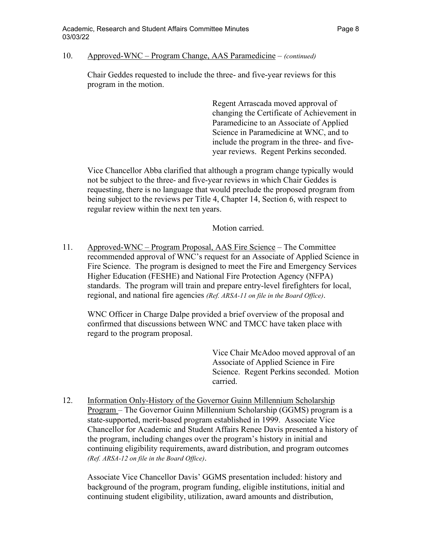#### 10. Approved-WNC – Program Change, AAS Paramedicine – *(continued)*

Chair Geddes requested to include the three- and five-year reviews for this program in the motion.

> Regent Arrascada moved approval of changing the Certificate of Achievement in Paramedicine to an Associate of Applied Science in Paramedicine at WNC, and to include the program in the three- and fiveyear reviews. Regent Perkins seconded.

Vice Chancellor Abba clarified that although a program change typically would not be subject to the three- and five-year reviews in which Chair Geddes is requesting, there is no language that would preclude the proposed program from being subject to the reviews per Title 4, Chapter 14, Section 6, with respect to regular review within the next ten years.

Motion carried.

11. Approved-WNC – Program Proposal, AAS Fire Science – The Committee recommended approval of WNC's request for an Associate of Applied Science in Fire Science. The program is designed to meet the Fire and Emergency Services Higher Education (FESHE) and National Fire Protection Agency (NFPA) standards. The program will train and prepare entry-level firefighters for local, regional, and national fire agencies *(Ref. ARSA-11 on file in the Board Office)*.

WNC Officer in Charge Dalpe provided a brief overview of the proposal and confirmed that discussions between WNC and TMCC have taken place with regard to the program proposal.

> Vice Chair McAdoo moved approval of an Associate of Applied Science in Fire Science. Regent Perkins seconded. Motion carried.

12. Information Only-History of the Governor Guinn Millennium Scholarship Program – The Governor Guinn Millennium Scholarship (GGMS) program is a state-supported, merit-based program established in 1999. Associate Vice Chancellor for Academic and Student Affairs Renee Davis presented a history of the program, including changes over the program's history in initial and continuing eligibility requirements, award distribution, and program outcomes *(Ref. ARSA-12 on file in the Board Office)*.

Associate Vice Chancellor Davis' GGMS presentation included: history and background of the program, program funding, eligible institutions, initial and continuing student eligibility, utilization, award amounts and distribution,